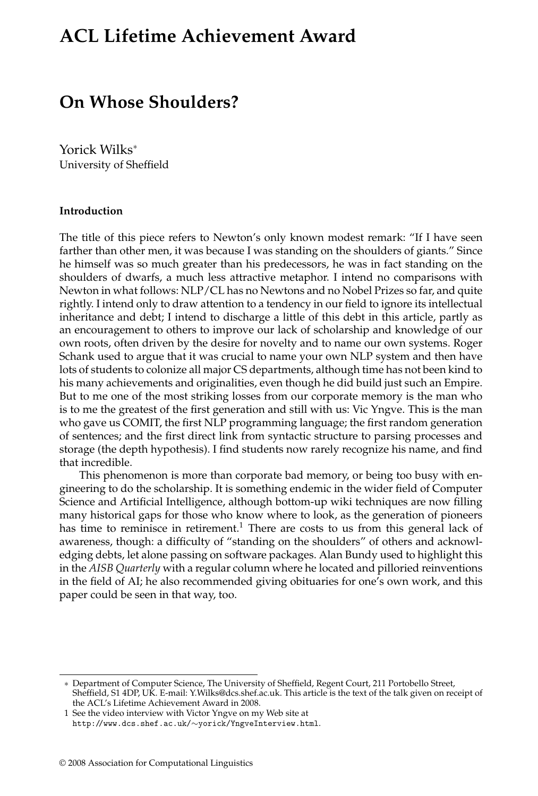# **ACL Lifetime Achievement Award**

# **On Whose Shoulders?**

Yorick Wilks<sup>∗</sup> University of Sheffield

#### **Introduction**

The title of this piece refers to Newton's only known modest remark: "If I have seen farther than other men, it was because I was standing on the shoulders of giants." Since he himself was so much greater than his predecessors, he was in fact standing on the shoulders of dwarfs, a much less attractive metaphor. I intend no comparisons with Newton in what follows: NLP/CL has no Newtons and no Nobel Prizes so far, and quite rightly. I intend only to draw attention to a tendency in our field to ignore its intellectual inheritance and debt; I intend to discharge a little of this debt in this article, partly as an encouragement to others to improve our lack of scholarship and knowledge of our own roots, often driven by the desire for novelty and to name our own systems. Roger Schank used to argue that it was crucial to name your own NLP system and then have lots of students to colonize all major CS departments, although time has not been kind to his many achievements and originalities, even though he did build just such an Empire. But to me one of the most striking losses from our corporate memory is the man who is to me the greatest of the first generation and still with us: Vic Yngve. This is the man who gave us COMIT, the first NLP programming language; the first random generation of sentences; and the first direct link from syntactic structure to parsing processes and storage (the depth hypothesis). I find students now rarely recognize his name, and find that incredible.

This phenomenon is more than corporate bad memory, or being too busy with engineering to do the scholarship. It is something endemic in the wider field of Computer Science and Artificial Intelligence, although bottom-up wiki techniques are now filling many historical gaps for those who know where to look, as the generation of pioneers has time to reminisce in retirement.<sup>1</sup> There are costs to us from this general lack of awareness, though: a difficulty of "standing on the shoulders" of others and acknowledging debts, let alone passing on software packages. Alan Bundy used to highlight this in the *AISB Quarterly* with a regular column where he located and pilloried reinventions in the field of AI; he also recommended giving obituaries for one's own work, and this paper could be seen in that way, too.

<sup>∗</sup> Department of Computer Science, The University of Sheffield, Regent Court, 211 Portobello Street, Sheffield, S1 4DP, UK. E-mail: Y.Wilks@dcs.shef.ac.uk. This article is the text of the talk given on receipt of the ACL's Lifetime Achievement Award in 2008.

<sup>1</sup> See the video interview with Victor Yngve on my Web site at http://www.dcs.shef.ac.uk/∼yorick/YngveInterview.html.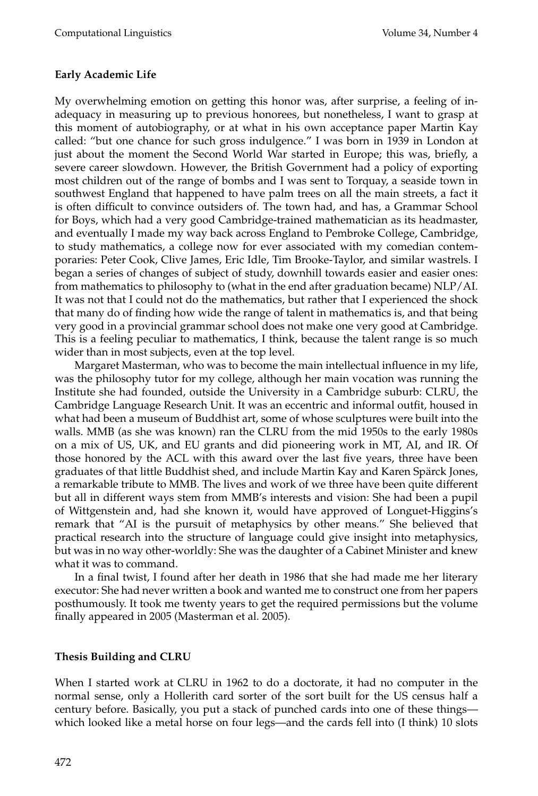#### **Early Academic Life**

My overwhelming emotion on getting this honor was, after surprise, a feeling of inadequacy in measuring up to previous honorees, but nonetheless, I want to grasp at this moment of autobiography, or at what in his own acceptance paper Martin Kay called: "but one chance for such gross indulgence." I was born in 1939 in London at just about the moment the Second World War started in Europe; this was, briefly, a severe career slowdown. However, the British Government had a policy of exporting most children out of the range of bombs and I was sent to Torquay, a seaside town in southwest England that happened to have palm trees on all the main streets, a fact it is often difficult to convince outsiders of. The town had, and has, a Grammar School for Boys, which had a very good Cambridge-trained mathematician as its headmaster, and eventually I made my way back across England to Pembroke College, Cambridge, to study mathematics, a college now for ever associated with my comedian contemporaries: Peter Cook, Clive James, Eric Idle, Tim Brooke-Taylor, and similar wastrels. I began a series of changes of subject of study, downhill towards easier and easier ones: from mathematics to philosophy to (what in the end after graduation became) NLP/AI. It was not that I could not do the mathematics, but rather that I experienced the shock that many do of finding how wide the range of talent in mathematics is, and that being very good in a provincial grammar school does not make one very good at Cambridge. This is a feeling peculiar to mathematics, I think, because the talent range is so much wider than in most subjects, even at the top level.

Margaret Masterman, who was to become the main intellectual influence in my life, was the philosophy tutor for my college, although her main vocation was running the Institute she had founded, outside the University in a Cambridge suburb: CLRU, the Cambridge Language Research Unit. It was an eccentric and informal outfit, housed in what had been a museum of Buddhist art, some of whose sculptures were built into the walls. MMB (as she was known) ran the CLRU from the mid 1950s to the early 1980s on a mix of US, UK, and EU grants and did pioneering work in MT, AI, and IR. Of those honored by the ACL with this award over the last five years, three have been graduates of that little Buddhist shed, and include Martin Kay and Karen Spärck Jones, a remarkable tribute to MMB. The lives and work of we three have been quite different but all in different ways stem from MMB's interests and vision: She had been a pupil of Wittgenstein and, had she known it, would have approved of Longuet-Higgins's remark that "AI is the pursuit of metaphysics by other means." She believed that practical research into the structure of language could give insight into metaphysics, but was in no way other-worldly: She was the daughter of a Cabinet Minister and knew what it was to command.

In a final twist, I found after her death in 1986 that she had made me her literary executor: She had never written a book and wanted me to construct one from her papers posthumously. It took me twenty years to get the required permissions but the volume finally appeared in 2005 (Masterman et al. 2005).

## **Thesis Building and CLRU**

When I started work at CLRU in 1962 to do a doctorate, it had no computer in the normal sense, only a Hollerith card sorter of the sort built for the US census half a century before. Basically, you put a stack of punched cards into one of these things which looked like a metal horse on four legs—and the cards fell into (I think) 10 slots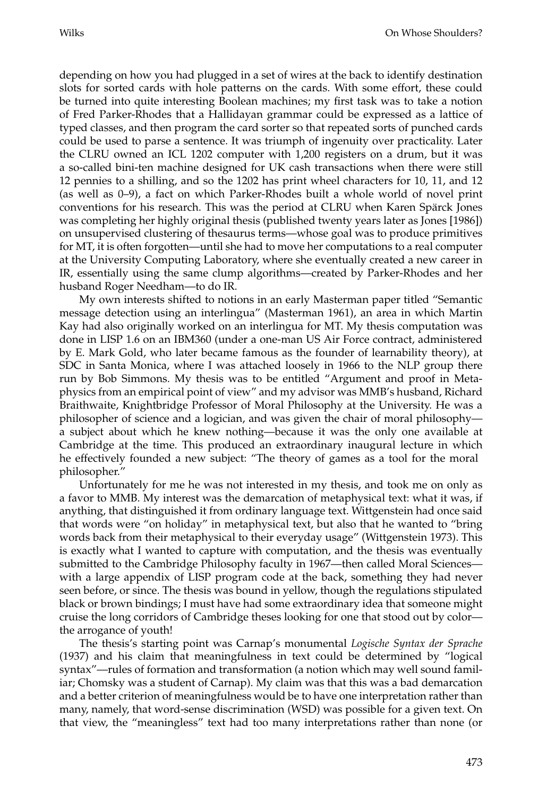depending on how you had plugged in a set of wires at the back to identify destination slots for sorted cards with hole patterns on the cards. With some effort, these could be turned into quite interesting Boolean machines; my first task was to take a notion of Fred Parker-Rhodes that a Hallidayan grammar could be expressed as a lattice of typed classes, and then program the card sorter so that repeated sorts of punched cards could be used to parse a sentence. It was triumph of ingenuity over practicality. Later the CLRU owned an ICL 1202 computer with 1,200 registers on a drum, but it was a so-called bini-ten machine designed for UK cash transactions when there were still 12 pennies to a shilling, and so the 1202 has print wheel characters for 10, 11, and 12 (as well as 0–9), a fact on which Parker-Rhodes built a whole world of novel print conventions for his research. This was the period at CLRU when Karen Spärck Jones was completing her highly original thesis (published twenty years later as Jones [1986]) on unsupervised clustering of thesaurus terms—whose goal was to produce primitives for MT, it is often forgotten—until she had to move her computations to a real computer at the University Computing Laboratory, where she eventually created a new career in IR, essentially using the same clump algorithms—created by Parker-Rhodes and her husband Roger Needham—to do IR.

My own interests shifted to notions in an early Masterman paper titled "Semantic message detection using an interlingua" (Masterman 1961), an area in which Martin Kay had also originally worked on an interlingua for MT. My thesis computation was done in LISP 1.6 on an IBM360 (under a one-man US Air Force contract, administered by E. Mark Gold, who later became famous as the founder of learnability theory), at SDC in Santa Monica, where I was attached loosely in 1966 to the NLP group there run by Bob Simmons. My thesis was to be entitled "Argument and proof in Metaphysics from an empirical point of view" and my advisor was MMB's husband, Richard Braithwaite, Knightbridge Professor of Moral Philosophy at the University. He was a philosopher of science and a logician, and was given the chair of moral philosophy a subject about which he knew nothing—because it was the only one available at Cambridge at the time. This produced an extraordinary inaugural lecture in which he effectively founded a new subject: "The theory of games as a tool for the moral philosopher."

Unfortunately for me he was not interested in my thesis, and took me on only as a favor to MMB. My interest was the demarcation of metaphysical text: what it was, if anything, that distinguished it from ordinary language text. Wittgenstein had once said that words were "on holiday" in metaphysical text, but also that he wanted to "bring words back from their metaphysical to their everyday usage" (Wittgenstein 1973). This is exactly what I wanted to capture with computation, and the thesis was eventually submitted to the Cambridge Philosophy faculty in 1967—then called Moral Sciences with a large appendix of LISP program code at the back, something they had never seen before, or since. The thesis was bound in yellow, though the regulations stipulated black or brown bindings; I must have had some extraordinary idea that someone might cruise the long corridors of Cambridge theses looking for one that stood out by color the arrogance of youth!

The thesis's starting point was Carnap's monumental *Logische Syntax der Sprache* (1937) and his claim that meaningfulness in text could be determined by "logical syntax"—rules of formation and transformation (a notion which may well sound familiar; Chomsky was a student of Carnap). My claim was that this was a bad demarcation and a better criterion of meaningfulness would be to have one interpretation rather than many, namely, that word-sense discrimination (WSD) was possible for a given text. On that view, the "meaningless" text had too many interpretations rather than none (or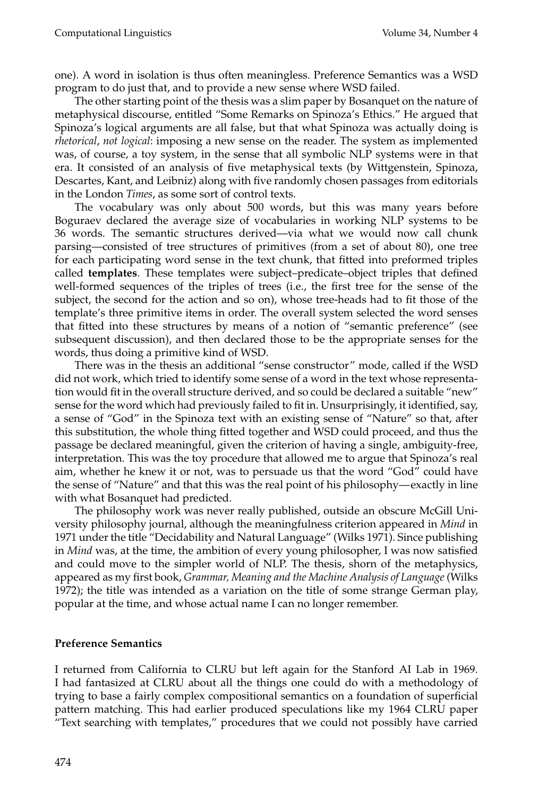one). A word in isolation is thus often meaningless. Preference Semantics was a WSD program to do just that, and to provide a new sense where WSD failed.

The other starting point of the thesis was a slim paper by Bosanquet on the nature of metaphysical discourse, entitled "Some Remarks on Spinoza's Ethics." He argued that Spinoza's logical arguments are all false, but that what Spinoza was actually doing is *rhetorical*, *not logical*: imposing a new sense on the reader. The system as implemented was, of course, a toy system, in the sense that all symbolic NLP systems were in that era. It consisted of an analysis of five metaphysical texts (by Wittgenstein, Spinoza, Descartes, Kant, and Leibniz) along with five randomly chosen passages from editorials in the London *Times*, as some sort of control texts.

The vocabulary was only about 500 words, but this was many years before Boguraev declared the average size of vocabularies in working NLP systems to be 36 words. The semantic structures derived—via what we would now call chunk parsing—consisted of tree structures of primitives (from a set of about 80), one tree for each participating word sense in the text chunk, that fitted into preformed triples called **templates**. These templates were subject–predicate–object triples that defined well-formed sequences of the triples of trees (i.e., the first tree for the sense of the subject, the second for the action and so on), whose tree-heads had to fit those of the template's three primitive items in order. The overall system selected the word senses that fitted into these structures by means of a notion of "semantic preference" (see subsequent discussion), and then declared those to be the appropriate senses for the words, thus doing a primitive kind of WSD.

There was in the thesis an additional "sense constructor" mode, called if the WSD did not work, which tried to identify some sense of a word in the text whose representation would fit in the overall structure derived, and so could be declared a suitable "new" sense for the word which had previously failed to fit in. Unsurprisingly, it identified, say, a sense of "God" in the Spinoza text with an existing sense of "Nature" so that, after this substitution, the whole thing fitted together and WSD could proceed, and thus the passage be declared meaningful, given the criterion of having a single, ambiguity-free, interpretation. This was the toy procedure that allowed me to argue that Spinoza's real aim, whether he knew it or not, was to persuade us that the word "God" could have the sense of "Nature" and that this was the real point of his philosophy—exactly in line with what Bosanquet had predicted.

The philosophy work was never really published, outside an obscure McGill University philosophy journal, although the meaningfulness criterion appeared in *Mind* in 1971 under the title "Decidability and Natural Language" (Wilks 1971). Since publishing in *Mind* was, at the time, the ambition of every young philosopher, I was now satisfied and could move to the simpler world of NLP. The thesis, shorn of the metaphysics, appeared as my first book, *Grammar, Meaning and the Machine Analysis of Language* (Wilks 1972); the title was intended as a variation on the title of some strange German play, popular at the time, and whose actual name I can no longer remember.

#### **Preference Semantics**

I returned from California to CLRU but left again for the Stanford AI Lab in 1969. I had fantasized at CLRU about all the things one could do with a methodology of trying to base a fairly complex compositional semantics on a foundation of superficial pattern matching. This had earlier produced speculations like my 1964 CLRU paper "Text searching with templates," procedures that we could not possibly have carried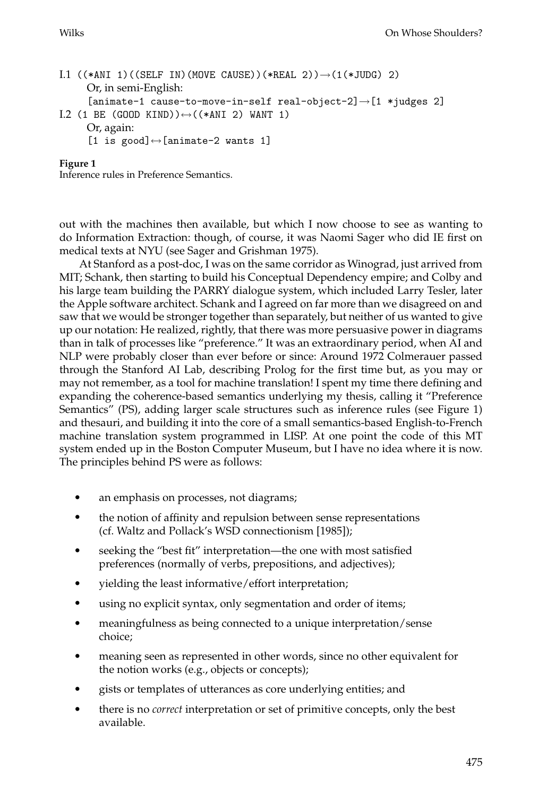```
I.1 ((*ANI 1)((SELF IN)(MOVE CAUSE))(*REAL 2))\rightarrow(1(*JUDG) 2)
     Or, in semi-English:
      [animate-1 cause-to-move-in-self real-object-2]→[1 *judges 2]
I.2 (1 BE (GOOD KIND))\leftrightarrow ((*ANI 2) WANT 1)
     Or, again:
     [1 is good]\leftrightarrow[animate-2 wants 1]
```
#### **Figure 1**

Inference rules in Preference Semantics.

out with the machines then available, but which I now choose to see as wanting to do Information Extraction: though, of course, it was Naomi Sager who did IE first on medical texts at NYU (see Sager and Grishman 1975).

At Stanford as a post-doc, I was on the same corridor as Winograd, just arrived from MIT; Schank, then starting to build his Conceptual Dependency empire; and Colby and his large team building the PARRY dialogue system, which included Larry Tesler, later the Apple software architect. Schank and I agreed on far more than we disagreed on and saw that we would be stronger together than separately, but neither of us wanted to give up our notation: He realized, rightly, that there was more persuasive power in diagrams than in talk of processes like "preference." It was an extraordinary period, when AI and NLP were probably closer than ever before or since: Around 1972 Colmerauer passed through the Stanford AI Lab, describing Prolog for the first time but, as you may or may not remember, as a tool for machine translation! I spent my time there defining and expanding the coherence-based semantics underlying my thesis, calling it "Preference Semantics" (PS), adding larger scale structures such as inference rules (see Figure 1) and thesauri, and building it into the core of a small semantics-based English-to-French machine translation system programmed in LISP. At one point the code of this MT system ended up in the Boston Computer Museum, but I have no idea where it is now. The principles behind PS were as follows:

- an emphasis on processes, not diagrams;
- the notion of affinity and repulsion between sense representations (cf. Waltz and Pollack's WSD connectionism [1985]);
- seeking the "best fit" interpretation—the one with most satisfied preferences (normally of verbs, prepositions, and adjectives);
- yielding the least informative/effort interpretation;
- using no explicit syntax, only segmentation and order of items;
- meaningfulness as being connected to a unique interpretation/sense choice;
- meaning seen as represented in other words, since no other equivalent for the notion works (e.g., objects or concepts);
- gists or templates of utterances as core underlying entities; and
- there is no *correct* interpretation or set of primitive concepts, only the best available.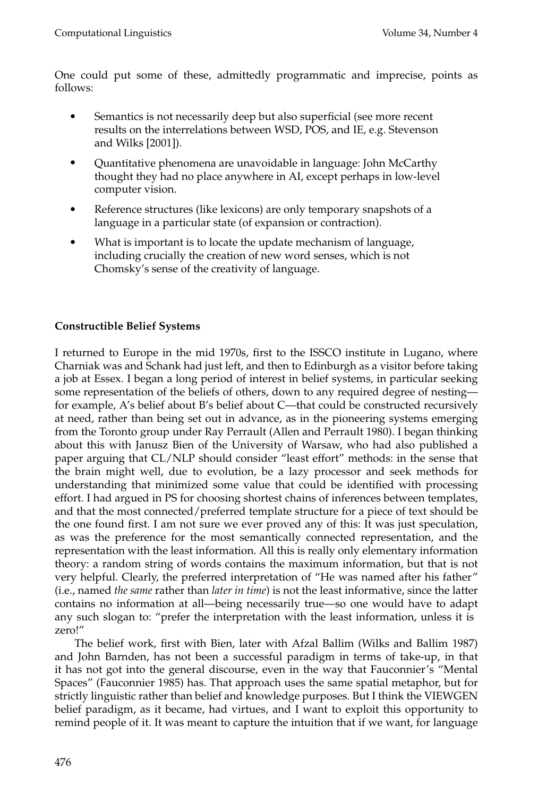One could put some of these, admittedly programmatic and imprecise, points as follows:

- Semantics is not necessarily deep but also superficial (see more recent results on the interrelations between WSD, POS, and IE, e.g. Stevenson and Wilks [2001]).
- Quantitative phenomena are unavoidable in language: John McCarthy thought they had no place anywhere in AI, except perhaps in low-level computer vision.
- Reference structures (like lexicons) are only temporary snapshots of a language in a particular state (of expansion or contraction).
- What is important is to locate the update mechanism of language, including crucially the creation of new word senses, which is not Chomsky's sense of the creativity of language.

# **Constructible Belief Systems**

I returned to Europe in the mid 1970s, first to the ISSCO institute in Lugano, where Charniak was and Schank had just left, and then to Edinburgh as a visitor before taking a job at Essex. I began a long period of interest in belief systems, in particular seeking some representation of the beliefs of others, down to any required degree of nesting for example, A's belief about B's belief about C—that could be constructed recursively at need, rather than being set out in advance, as in the pioneering systems emerging from the Toronto group under Ray Perrault (Allen and Perrault 1980). I began thinking about this with Janusz Bien of the University of Warsaw, who had also published a paper arguing that CL/NLP should consider "least effort" methods: in the sense that the brain might well, due to evolution, be a lazy processor and seek methods for understanding that minimized some value that could be identified with processing effort. I had argued in PS for choosing shortest chains of inferences between templates, and that the most connected/preferred template structure for a piece of text should be the one found first. I am not sure we ever proved any of this: It was just speculation, as was the preference for the most semantically connected representation, and the representation with the least information. All this is really only elementary information theory: a random string of words contains the maximum information, but that is not very helpful. Clearly, the preferred interpretation of "He was named after his father" (i.e., named *the same* rather than *later in time*) is not the least informative, since the latter contains no information at all—being necessarily true—so one would have to adapt any such slogan to: "prefer the interpretation with the least information, unless it is zero!"

The belief work, first with Bien, later with Afzal Ballim (Wilks and Ballim 1987) and John Barnden, has not been a successful paradigm in terms of take-up, in that it has not got into the general discourse, even in the way that Fauconnier's "Mental Spaces" (Fauconnier 1985) has. That approach uses the same spatial metaphor, but for strictly linguistic rather than belief and knowledge purposes. But I think the VIEWGEN belief paradigm, as it became, had virtues, and I want to exploit this opportunity to remind people of it. It was meant to capture the intuition that if we want, for language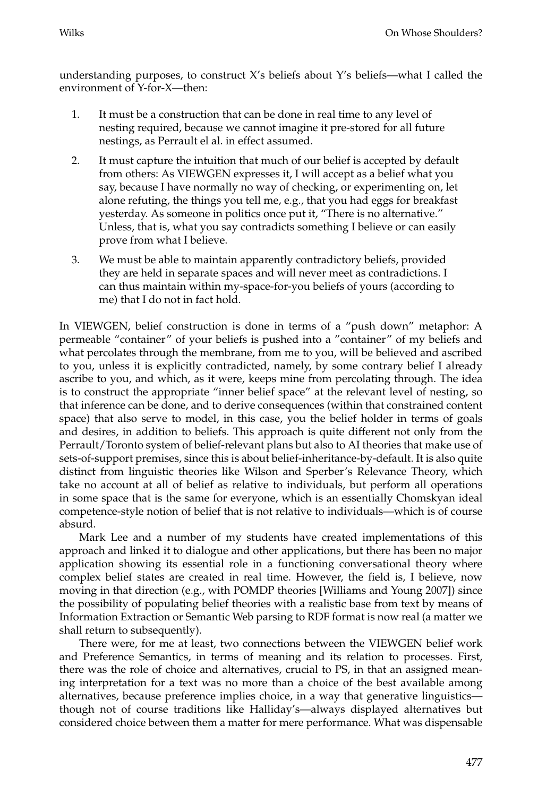understanding purposes, to construct X's beliefs about Y's beliefs—what I called the environment of Y-for-X—then:

- 1. It must be a construction that can be done in real time to any level of nesting required, because we cannot imagine it pre-stored for all future nestings, as Perrault el al. in effect assumed.
- 2. It must capture the intuition that much of our belief is accepted by default from others: As VIEWGEN expresses it, I will accept as a belief what you say, because I have normally no way of checking, or experimenting on, let alone refuting, the things you tell me, e.g., that you had eggs for breakfast yesterday. As someone in politics once put it, "There is no alternative." Unless, that is, what you say contradicts something I believe or can easily prove from what I believe.
- 3. We must be able to maintain apparently contradictory beliefs, provided they are held in separate spaces and will never meet as contradictions. I can thus maintain within my-space-for-you beliefs of yours (according to me) that I do not in fact hold.

In VIEWGEN, belief construction is done in terms of a "push down" metaphor: A permeable "container" of your beliefs is pushed into a "container" of my beliefs and what percolates through the membrane, from me to you, will be believed and ascribed to you, unless it is explicitly contradicted, namely, by some contrary belief I already ascribe to you, and which, as it were, keeps mine from percolating through. The idea is to construct the appropriate "inner belief space" at the relevant level of nesting, so that inference can be done, and to derive consequences (within that constrained content space) that also serve to model, in this case, you the belief holder in terms of goals and desires, in addition to beliefs. This approach is quite different not only from the Perrault/Toronto system of belief-relevant plans but also to AI theories that make use of sets-of-support premises, since this is about belief-inheritance-by-default. It is also quite distinct from linguistic theories like Wilson and Sperber's Relevance Theory, which take no account at all of belief as relative to individuals, but perform all operations in some space that is the same for everyone, which is an essentially Chomskyan ideal competence-style notion of belief that is not relative to individuals—which is of course absurd.

Mark Lee and a number of my students have created implementations of this approach and linked it to dialogue and other applications, but there has been no major application showing its essential role in a functioning conversational theory where complex belief states are created in real time. However, the field is, I believe, now moving in that direction (e.g., with POMDP theories [Williams and Young 2007]) since the possibility of populating belief theories with a realistic base from text by means of Information Extraction or Semantic Web parsing to RDF format is now real (a matter we shall return to subsequently).

There were, for me at least, two connections between the VIEWGEN belief work and Preference Semantics, in terms of meaning and its relation to processes. First, there was the role of choice and alternatives, crucial to PS, in that an assigned meaning interpretation for a text was no more than a choice of the best available among alternatives, because preference implies choice, in a way that generative linguistics though not of course traditions like Halliday's—always displayed alternatives but considered choice between them a matter for mere performance. What was dispensable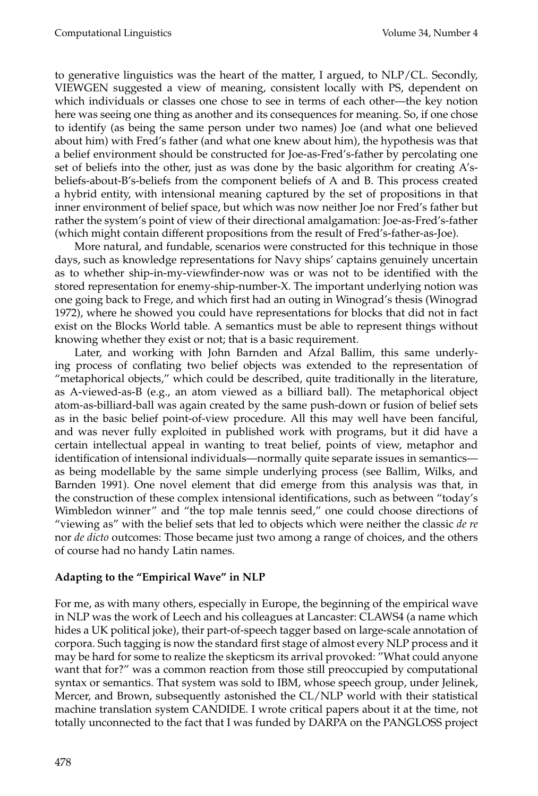to generative linguistics was the heart of the matter, I argued, to NLP/CL. Secondly, VIEWGEN suggested a view of meaning, consistent locally with PS, dependent on which individuals or classes one chose to see in terms of each other—the key notion here was seeing one thing as another and its consequences for meaning. So, if one chose to identify (as being the same person under two names) Joe (and what one believed about him) with Fred's father (and what one knew about him), the hypothesis was that a belief environment should be constructed for Joe-as-Fred's-father by percolating one set of beliefs into the other, just as was done by the basic algorithm for creating A'sbeliefs-about-B's-beliefs from the component beliefs of A and B. This process created a hybrid entity, with intensional meaning captured by the set of propositions in that inner environment of belief space, but which was now neither Joe nor Fred's father but rather the system's point of view of their directional amalgamation: Joe-as-Fred's-father (which might contain different propositions from the result of Fred's-father-as-Joe).

More natural, and fundable, scenarios were constructed for this technique in those days, such as knowledge representations for Navy ships' captains genuinely uncertain as to whether ship-in-my-viewfinder-now was or was not to be identified with the stored representation for enemy-ship-number-X. The important underlying notion was one going back to Frege, and which first had an outing in Winograd's thesis (Winograd 1972), where he showed you could have representations for blocks that did not in fact exist on the Blocks World table. A semantics must be able to represent things without knowing whether they exist or not; that is a basic requirement.

Later, and working with John Barnden and Afzal Ballim, this same underlying process of conflating two belief objects was extended to the representation of "metaphorical objects," which could be described, quite traditionally in the literature, as A-viewed-as-B (e.g., an atom viewed as a billiard ball). The metaphorical object atom-as-billiard-ball was again created by the same push-down or fusion of belief sets as in the basic belief point-of-view procedure. All this may well have been fanciful, and was never fully exploited in published work with programs, but it did have a certain intellectual appeal in wanting to treat belief, points of view, metaphor and identification of intensional individuals—normally quite separate issues in semantics as being modellable by the same simple underlying process (see Ballim, Wilks, and Barnden 1991). One novel element that did emerge from this analysis was that, in the construction of these complex intensional identifications, such as between "today's Wimbledon winner" and "the top male tennis seed," one could choose directions of "viewing as" with the belief sets that led to objects which were neither the classic *de re* nor *de dicto* outcomes: Those became just two among a range of choices, and the others of course had no handy Latin names.

# **Adapting to the "Empirical Wave" in NLP**

For me, as with many others, especially in Europe, the beginning of the empirical wave in NLP was the work of Leech and his colleagues at Lancaster: CLAWS4 (a name which hides a UK political joke), their part-of-speech tagger based on large-scale annotation of corpora. Such tagging is now the standard first stage of almost every NLP process and it may be hard for some to realize the skepticsm its arrival provoked: "What could anyone want that for?" was a common reaction from those still preoccupied by computational syntax or semantics. That system was sold to IBM, whose speech group, under Jelinek, Mercer, and Brown, subsequently astonished the CL/NLP world with their statistical machine translation system CANDIDE. I wrote critical papers about it at the time, not totally unconnected to the fact that I was funded by DARPA on the PANGLOSS project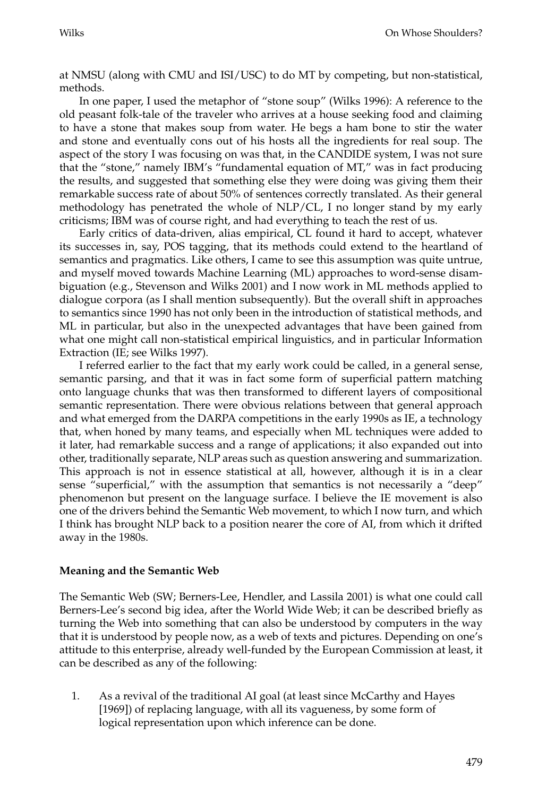at NMSU (along with CMU and ISI/USC) to do MT by competing, but non-statistical, methods.

In one paper, I used the metaphor of "stone soup" (Wilks 1996): A reference to the old peasant folk-tale of the traveler who arrives at a house seeking food and claiming to have a stone that makes soup from water. He begs a ham bone to stir the water and stone and eventually cons out of his hosts all the ingredients for real soup. The aspect of the story I was focusing on was that, in the CANDIDE system, I was not sure that the "stone," namely IBM's "fundamental equation of MT," was in fact producing the results, and suggested that something else they were doing was giving them their remarkable success rate of about 50% of sentences correctly translated. As their general methodology has penetrated the whole of NLP/CL, I no longer stand by my early criticisms; IBM was of course right, and had everything to teach the rest of us.

Early critics of data-driven, alias empirical, CL found it hard to accept, whatever its successes in, say, POS tagging, that its methods could extend to the heartland of semantics and pragmatics. Like others, I came to see this assumption was quite untrue, and myself moved towards Machine Learning (ML) approaches to word-sense disambiguation (e.g., Stevenson and Wilks 2001) and I now work in ML methods applied to dialogue corpora (as I shall mention subsequently). But the overall shift in approaches to semantics since 1990 has not only been in the introduction of statistical methods, and ML in particular, but also in the unexpected advantages that have been gained from what one might call non-statistical empirical linguistics, and in particular Information Extraction (IE; see Wilks 1997).

I referred earlier to the fact that my early work could be called, in a general sense, semantic parsing, and that it was in fact some form of superficial pattern matching onto language chunks that was then transformed to different layers of compositional semantic representation. There were obvious relations between that general approach and what emerged from the DARPA competitions in the early 1990s as IE, a technology that, when honed by many teams, and especially when ML techniques were added to it later, had remarkable success and a range of applications; it also expanded out into other, traditionally separate, NLP areas such as question answering and summarization. This approach is not in essence statistical at all, however, although it is in a clear sense "superficial," with the assumption that semantics is not necessarily a "deep" phenomenon but present on the language surface. I believe the IE movement is also one of the drivers behind the Semantic Web movement, to which I now turn, and which I think has brought NLP back to a position nearer the core of AI, from which it drifted away in the 1980s.

## **Meaning and the Semantic Web**

The Semantic Web(SW; Berners-Lee, Hendler, and Lassila 2001) is what one could call Berners-Lee's second big idea, after the World Wide Web; it can be described briefly as turning the Web into something that can also be understood by computers in the way that it is understood by people now, as a web of texts and pictures. Depending on one's attitude to this enterprise, already well-funded by the European Commission at least, it can be described as any of the following:

1. As a revival of the traditional AI goal (at least since McCarthy and Hayes [1969]) of replacing language, with all its vagueness, by some form of logical representation upon which inference can be done.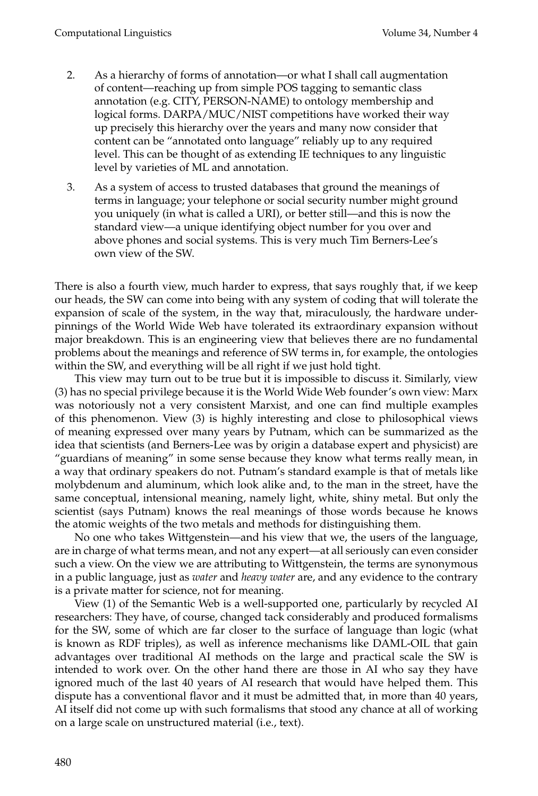- 2. As a hierarchy of forms of annotation—or what I shall call augmentation of content—reaching up from simple POS tagging to semantic class annotation (e.g. CITY, PERSON-NAME) to ontology membership and logical forms. DARPA/MUC/NIST competitions have worked their way up precisely this hierarchy over the years and many now consider that content can be "annotated onto language" reliably up to any required level. This can be thought of as extending IE techniques to any linguistic level by varieties of ML and annotation.
- 3. As a system of access to trusted databases that ground the meanings of terms in language; your telephone or social security number might ground you uniquely (in what is called a URI), or better still—and this is now the standard view—a unique identifying object number for you over and above phones and social systems. This is very much Tim Berners-Lee's own view of the SW.

There is also a fourth view, much harder to express, that says roughly that, if we keep our heads, the SW can come into being with any system of coding that will tolerate the expansion of scale of the system, in the way that, miraculously, the hardware underpinnings of the World Wide Web have tolerated its extraordinary expansion without major breakdown. This is an engineering view that believes there are no fundamental problems about the meanings and reference of SW terms in, for example, the ontologies within the SW, and everything will be all right if we just hold tight.

This view may turn out to be true but it is impossible to discuss it. Similarly, view (3) has no special privilege because it is the World Wide Web founder's own view: Marx was notoriously not a very consistent Marxist, and one can find multiple examples of this phenomenon. View (3) is highly interesting and close to philosophical views of meaning expressed over many years by Putnam, which can be summarized as the idea that scientists (and Berners-Lee was by origin a database expert and physicist) are "guardians of meaning" in some sense because they know what terms really mean, in a way that ordinary speakers do not. Putnam's standard example is that of metals like molybdenum and aluminum, which look alike and, to the man in the street, have the same conceptual, intensional meaning, namely light, white, shiny metal. But only the scientist (says Putnam) knows the real meanings of those words because he knows the atomic weights of the two metals and methods for distinguishing them.

No one who takes Wittgenstein—and his view that we, the users of the language, are in charge of what terms mean, and not any expert—at all seriously can even consider such a view. On the view we are attributing to Wittgenstein, the terms are synonymous in a public language, just as *water* and *heavy water* are, and any evidence to the contrary is a private matter for science, not for meaning.

View (1) of the Semantic Web is a well-supported one, particularly by recycled AI researchers: They have, of course, changed tack considerably and produced formalisms for the SW, some of which are far closer to the surface of language than logic (what is known as RDF triples), as well as inference mechanisms like DAML-OIL that gain advantages over traditional AI methods on the large and practical scale the SW is intended to work over. On the other hand there are those in AI who say they have ignored much of the last 40 years of AI research that would have helped them. This dispute has a conventional flavor and it must be admitted that, in more than 40 years, AI itself did not come up with such formalisms that stood any chance at all of working on a large scale on unstructured material (i.e., text).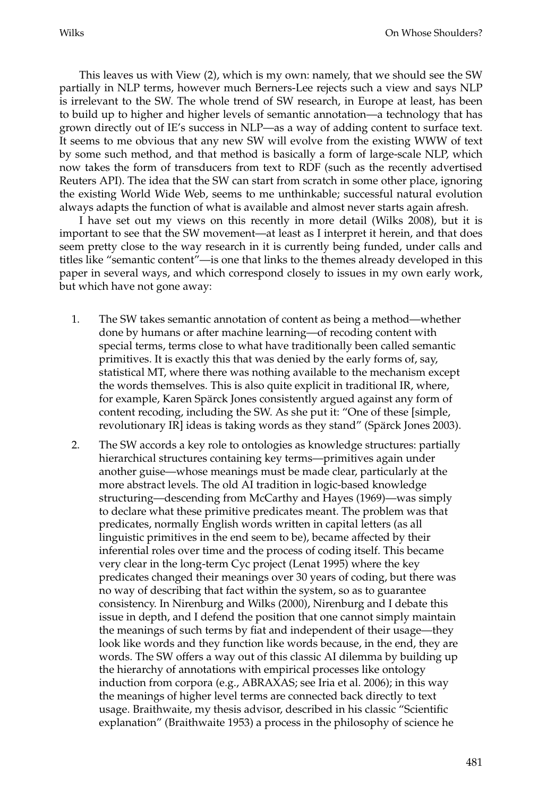This leaves us with View (2), which is my own: namely, that we should see the SW partially in NLP terms, however much Berners-Lee rejects such a view and says NLP is irrelevant to the SW. The whole trend of SW research, in Europe at least, has been to build up to higher and higher levels of semantic annotation—a technology that has grown directly out of IE's success in NLP—as a way of adding content to surface text. It seems to me obvious that any new SW will evolve from the existing WWW of text by some such method, and that method is basically a form of large-scale NLP, which now takes the form of transducers from text to RDF (such as the recently advertised Reuters API). The idea that the SW can start from scratch in some other place, ignoring the existing World Wide Web, seems to me unthinkable; successful natural evolution always adapts the function of what is available and almost never starts again afresh.

I have set out my views on this recently in more detail (Wilks 2008), but it is important to see that the SW movement—at least as I interpret it herein, and that does seem pretty close to the way research in it is currently being funded, under calls and titles like "semantic content"—is one that links to the themes already developed in this paper in several ways, and which correspond closely to issues in my own early work, but which have not gone away:

- 1. The SW takes semantic annotation of content as being a method—whether done by humans or after machine learning—of recoding content with special terms, terms close to what have traditionally been called semantic primitives. It is exactly this that was denied by the early forms of, say, statistical MT, where there was nothing available to the mechanism except the words themselves. This is also quite explicit in traditional IR, where, for example, Karen Spärck Jones consistently argued against any form of content recoding, including the SW. As she put it: "One of these [simple, revolutionary IR] ideas is taking words as they stand" (Spärck Jones 2003).
- 2. The SW accords a key role to ontologies as knowledge structures: partially hierarchical structures containing key terms—primitives again under another guise—whose meanings must be made clear, particularly at the more abstract levels. The old AI tradition in logic-based knowledge structuring—descending from McCarthy and Hayes (1969)—was simply to declare what these primitive predicates meant. The problem was that predicates, normally English words written in capital letters (as all linguistic primitives in the end seem to be), became affected by their inferential roles over time and the process of coding itself. This became very clear in the long-term Cyc project (Lenat 1995) where the key predicates changed their meanings over 30 years of coding, but there was no way of describing that fact within the system, so as to guarantee consistency. In Nirenburg and Wilks (2000), Nirenburg and I debate this issue in depth, and I defend the position that one cannot simply maintain the meanings of such terms by fiat and independent of their usage—they look like words and they function like words because, in the end, they are words. The SW offers a way out of this classic AI dilemma by building up the hierarchy of annotations with empirical processes like ontology induction from corpora (e.g., ABRAXAS; see Iria et al. 2006); in this way the meanings of higher level terms are connected back directly to text usage. Braithwaite, my thesis advisor, described in his classic "Scientific explanation" (Braithwaite 1953) a process in the philosophy of science he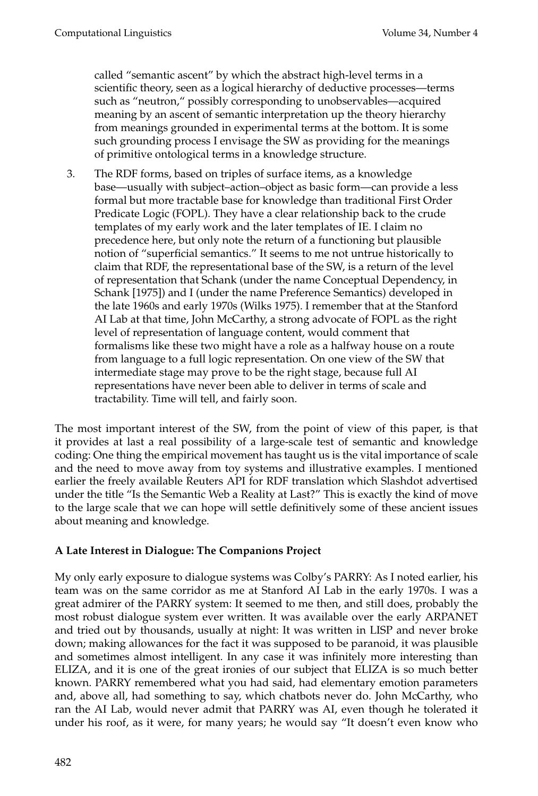called "semantic ascent" by which the abstract high-level terms in a scientific theory, seen as a logical hierarchy of deductive processes—terms such as "neutron," possibly corresponding to unobservables—acquired meaning by an ascent of semantic interpretation up the theory hierarchy from meanings grounded in experimental terms at the bottom. It is some such grounding process I envisage the SW as providing for the meanings of primitive ontological terms in a knowledge structure.

3. The RDF forms, based on triples of surface items, as a knowledge base—usually with subject–action–object as basic form—can provide a less formal but more tractable base for knowledge than traditional First Order Predicate Logic (FOPL). They have a clear relationship back to the crude templates of my early work and the later templates of IE. I claim no precedence here, but only note the return of a functioning but plausible notion of "superficial semantics." It seems to me not untrue historically to claim that RDF, the representational base of the SW, is a return of the level of representation that Schank (under the name Conceptual Dependency, in Schank [1975]) and I (under the name Preference Semantics) developed in the late 1960s and early 1970s (Wilks 1975). I remember that at the Stanford AI Lab at that time, John McCarthy, a strong advocate of FOPL as the right level of representation of language content, would comment that formalisms like these two might have a role as a halfway house on a route from language to a full logic representation. On one view of the SW that intermediate stage may prove to be the right stage, because full AI representations have never been able to deliver in terms of scale and tractability. Time will tell, and fairly soon.

The most important interest of the SW, from the point of view of this paper, is that it provides at last a real possibility of a large-scale test of semantic and knowledge coding: One thing the empirical movement has taught us is the vital importance of scale and the need to move away from toy systems and illustrative examples. I mentioned earlier the freely available Reuters API for RDF translation which Slashdot advertised under the title "Is the Semantic Web a Reality at Last?" This is exactly the kind of move to the large scale that we can hope will settle definitively some of these ancient issues about meaning and knowledge.

## **A Late Interest in Dialogue: The Companions Project**

My only early exposure to dialogue systems was Colby's PARRY: As I noted earlier, his team was on the same corridor as me at Stanford AI Labin the early 1970s. I was a great admirer of the PARRY system: It seemed to me then, and still does, probably the most robust dialogue system ever written. It was available over the early ARPANET and tried out by thousands, usually at night: It was written in LISP and never broke down; making allowances for the fact it was supposed to be paranoid, it was plausible and sometimes almost intelligent. In any case it was infinitely more interesting than ELIZA, and it is one of the great ironies of our subject that ELIZA is so much better known. PARRY remembered what you had said, had elementary emotion parameters and, above all, had something to say, which chatbots never do. John McCarthy, who ran the AI Lab, would never admit that PARRY was AI, even though he tolerated it under his roof, as it were, for many years; he would say "It doesn't even know who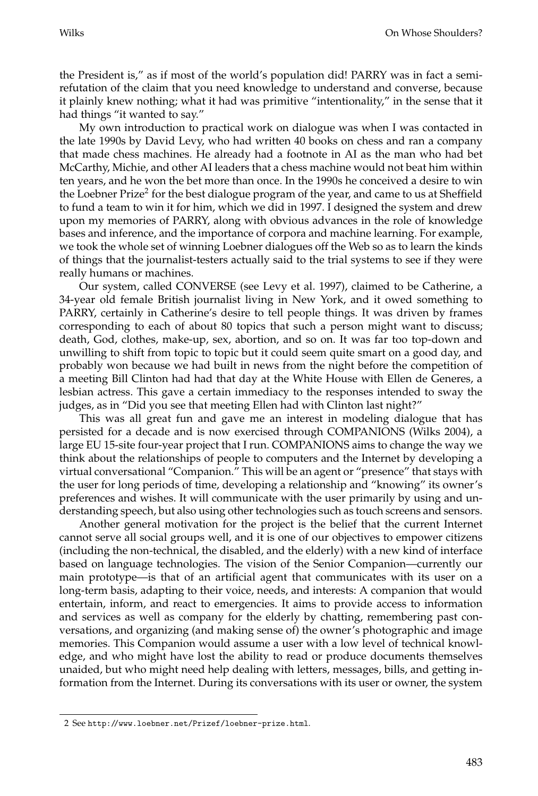the President is," as if most of the world's population did! PARRY was in fact a semirefutation of the claim that you need knowledge to understand and converse, because it plainly knew nothing; what it had was primitive "intentionality," in the sense that it had things "it wanted to say."

My own introduction to practical work on dialogue was when I was contacted in the late 1990s by David Levy, who had written 40 books on chess and ran a company that made chess machines. He already had a footnote in AI as the man who had bet McCarthy, Michie, and other AI leaders that a chess machine would not beat him within ten years, and he won the bet more than once. In the 1990s he conceived a desire to win the Loebner Prize<sup>2</sup> for the best dialogue program of the year, and came to us at Sheffield to fund a team to win it for him, which we did in 1997. I designed the system and drew upon my memories of PARRY, along with obvious advances in the role of knowledge bases and inference, and the importance of corpora and machine learning. For example, we took the whole set of winning Loebner dialogues off the Web so as to learn the kinds of things that the journalist-testers actually said to the trial systems to see if they were really humans or machines.

Our system, called CONVERSE (see Levy et al. 1997), claimed to be Catherine, a 34-year old female British journalist living in New York, and it owed something to PARRY, certainly in Catherine's desire to tell people things. It was driven by frames corresponding to each of about 80 topics that such a person might want to discuss; death, God, clothes, make-up, sex, abortion, and so on. It was far too top-down and unwilling to shift from topic to topic but it could seem quite smart on a good day, and probably won because we had built in news from the night before the competition of a meeting Bill Clinton had had that day at the White House with Ellen de Generes, a lesbian actress. This gave a certain immediacy to the responses intended to sway the judges, as in "Did you see that meeting Ellen had with Clinton last night?"

This was all great fun and gave me an interest in modeling dialogue that has persisted for a decade and is now exercised through COMPANIONS (Wilks 2004), a large EU 15-site four-year project that I run. COMPANIONS aims to change the way we think about the relationships of people to computers and the Internet by developing a virtual conversational "Companion." This will be an agent or "presence" that stays with the user for long periods of time, developing a relationship and "knowing" its owner's preferences and wishes. It will communicate with the user primarily by using and understanding speech, but also using other technologies such as touch screens and sensors.

Another general motivation for the project is the belief that the current Internet cannot serve all social groups well, and it is one of our objectives to empower citizens (including the non-technical, the disabled, and the elderly) with a new kind of interface based on language technologies. The vision of the Senior Companion—currently our main prototype—is that of an artificial agent that communicates with its user on a long-term basis, adapting to their voice, needs, and interests: A companion that would entertain, inform, and react to emergencies. It aims to provide access to information and services as well as company for the elderly by chatting, remembering past conversations, and organizing (and making sense of) the owner's photographic and image memories. This Companion would assume a user with a low level of technical knowledge, and who might have lost the ability to read or produce documents themselves unaided, but who might need help dealing with letters, messages, bills, and getting information from the Internet. During its conversations with its user or owner, the system

<sup>2</sup> See http://www.loebner.net/Prizef/loebner-prize.html.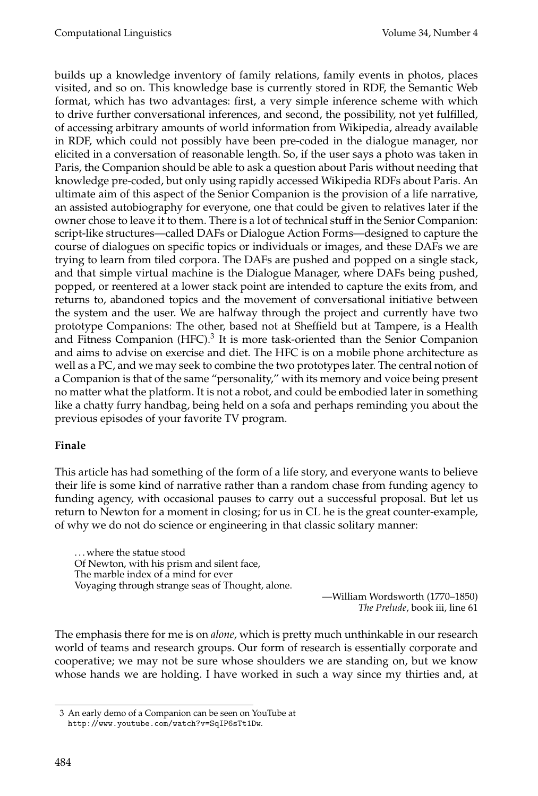builds up a knowledge inventory of family relations, family events in photos, places visited, and so on. This knowledge base is currently stored in RDF, the Semantic Web format, which has two advantages: first, a very simple inference scheme with which to drive further conversational inferences, and second, the possibility, not yet fulfilled, of accessing arbitrary amounts of world information from Wikipedia, already available in RDF, which could not possibly have been pre-coded in the dialogue manager, nor elicited in a conversation of reasonable length. So, if the user says a photo was taken in Paris, the Companion should be able to ask a question about Paris without needing that knowledge pre-coded, but only using rapidly accessed Wikipedia RDFs about Paris. An ultimate aim of this aspect of the Senior Companion is the provision of a life narrative, an assisted autobiography for everyone, one that could be given to relatives later if the owner chose to leave it to them. There is a lot of technical stuff in the Senior Companion: script-like structures—called DAFs or Dialogue Action Forms—designed to capture the course of dialogues on specific topics or individuals or images, and these DAFs we are trying to learn from tiled corpora. The DAFs are pushed and popped on a single stack, and that simple virtual machine is the Dialogue Manager, where DAFs being pushed, popped, or reentered at a lower stack point are intended to capture the exits from, and returns to, abandoned topics and the movement of conversational initiative between the system and the user. We are halfway through the project and currently have two prototype Companions: The other, based not at Sheffield but at Tampere, is a Health and Fitness Companion  $(HFC)^3$  It is more task-oriented than the Senior Companion and aims to advise on exercise and diet. The HFC is on a mobile phone architecture as well as a PC, and we may seek to combine the two prototypes later. The central notion of a Companion is that of the same "personality," with its memory and voice being present no matter what the platform. It is not a robot, and could be embodied later in something like a chatty furry handbag, being held on a sofa and perhaps reminding you about the previous episodes of your favorite TV program.

# **Finale**

This article has had something of the form of a life story, and everyone wants to believe their life is some kind of narrative rather than a random chase from funding agency to funding agency, with occasional pauses to carry out a successful proposal. But let us return to Newton for a moment in closing; for us in CL he is the great counter-example, of why we do not do science or engineering in that classic solitary manner:

. . . where the statue stood Of Newton, with his prism and silent face, The marble index of a mind for ever Voyaging through strange seas of Thought, alone.

—William Wordsworth (1770–1850) *The Prelude*, book iii, line 61

The emphasis there for me is on *alone*, which is pretty much unthinkable in our research world of teams and research groups. Our form of research is essentially corporate and cooperative; we may not be sure whose shoulders we are standing on, but we know whose hands we are holding. I have worked in such a way since my thirties and, at

<sup>3</sup> An early demo of a Companion can be seen on YouTube at http://www.youtube.com/watch?v=SqIP6sTt1Dw.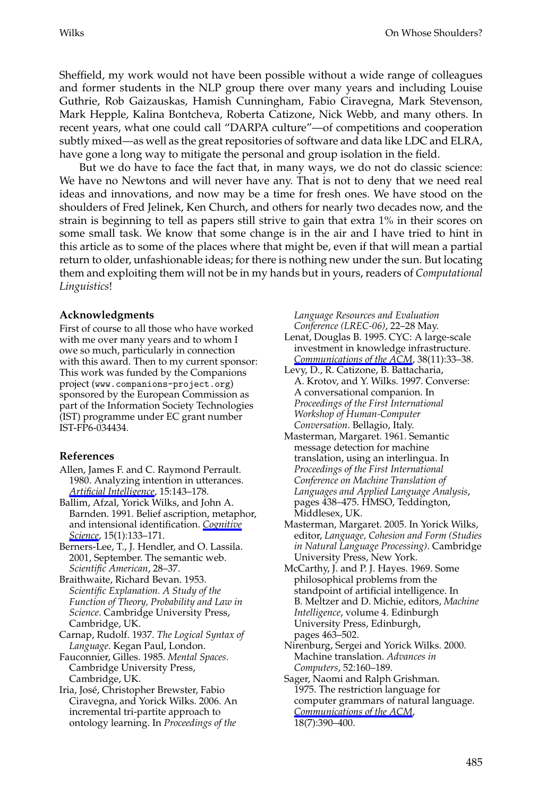Sheffield, my work would not have been possible without a wide range of colleagues and former students in the NLP group there over many years and including Louise Guthrie, RobGaizauskas, Hamish Cunningham, Fabio Ciravegna, Mark Stevenson, Mark Hepple, Kalina Bontcheva, Roberta Catizone, Nick Webb, and many others. In recent years, what one could call "DARPA culture"—of competitions and cooperation subtly mixed—as well as the great repositories of software and data like LDC and ELRA, have gone a long way to mitigate the personal and group isolation in the field.

But we do have to face the fact that, in many ways, we do not do classic science: We have no Newtons and will never have any. That is not to deny that we need real ideas and innovations, and now may be a time for fresh ones. We have stood on the shoulders of Fred Jelinek, Ken Church, and others for nearly two decades now, and the strain is beginning to tell as papers still strive to gain that extra 1% in their scores on some small task. We know that some change is in the air and I have tried to hint in this article as to some of the places where that might be, even if that will mean a partial return to older, unfashionable ideas; for there is nothing new under the sun. But locating them and exploiting them will not be in my hands but in yours, readers of *Computational Linguistics*!

#### **Acknowledgments**

First of course to all those who have worked with me over many years and to whom I owe so much, particularly in connection with this award. Then to my current sponsor: This work was funded by the Companions project (www.companions-project.org) sponsored by the European Commission as part of the Information Society Technologies (IST) programme under EC grant number IST-FP6-034434.

#### **References**

- Allen, James F. and C. Raymond Perrault. 1980. Analyzing intention in utterances. *Artificial Intelligence*, 15:143–178.
- Ballim, Afzal, Yorick Wilks, and John A. Barnden. 1991. Belief ascription, metaphor, and intensional identification. *Cognitive Science*, 15(1):133–171.

Berners-Lee, T., J. Hendler, and O. Lassila. 2001, September. The semantic web. *Scientific American*, 28–37.

- Braithwaite, Richard Bevan. 1953. *Scientific Explanation. A Study of the Function of Theory, Probability and Law in Science*. Cambridge University Press, Cambridge, UK.
- Carnap, Rudolf. 1937. *The Logical Syntax of Language*. Kegan Paul, London.
- Fauconnier, Gilles. 1985. *Mental Spaces*. Cambridge University Press, Cambridge, UK.
- Iria, Jose, Christopher Brewster, Fabio ´ Ciravegna, and Yorick Wilks. 2006. An incremental tri-partite approach to ontology learning. In *Proceedings of the*

*Language Resources and Evaluation Conference (LREC-06)*, 22–28 May.

- Lenat, Douglas B. 1995. CYC: A large-scale investment in knowledge infrastructure. *Communications of the ACM*, 38(11):33–38.
- Levy, D., R. Catizone, B. Battacharia, A. Krotov, and Y. Wilks. 1997. Converse: A conversational companion. In *Proceedings of the First International Workshop of Human-Computer Conversation*. Bellagio, Italy.
- Masterman, Margaret. 1961. Semantic message detection for machine translation, using an interlingua. In *Proceedings of the First International Conference on Machine Translation of Languages and Applied Language Analysis*, pages 438–475. HMSO, Teddington, Middlesex, UK.
- Masterman, Margaret. 2005. In Yorick Wilks, editor, *Language, Cohesion and Form (Studies in Natural Language Processing*). Cambridge University Press, New York.
- McCarthy, J. and P. J. Hayes. 1969. Some philosophical problems from the standpoint of artificial intelligence. In B. Meltzer and D. Michie, editors, *Machine Intelligence*, volume 4. Edinburgh University Press, Edinburgh, pages 463–502.
- Nirenburg, Sergei and Yorick Wilks. 2000. Machine translation. *Advances in Computers*, 52:160–189.

Sager, Naomi and Ralph Grishman. 1975. The restriction language for computer grammars of natural language. *Communications of the ACM*, 18(7):390–400.